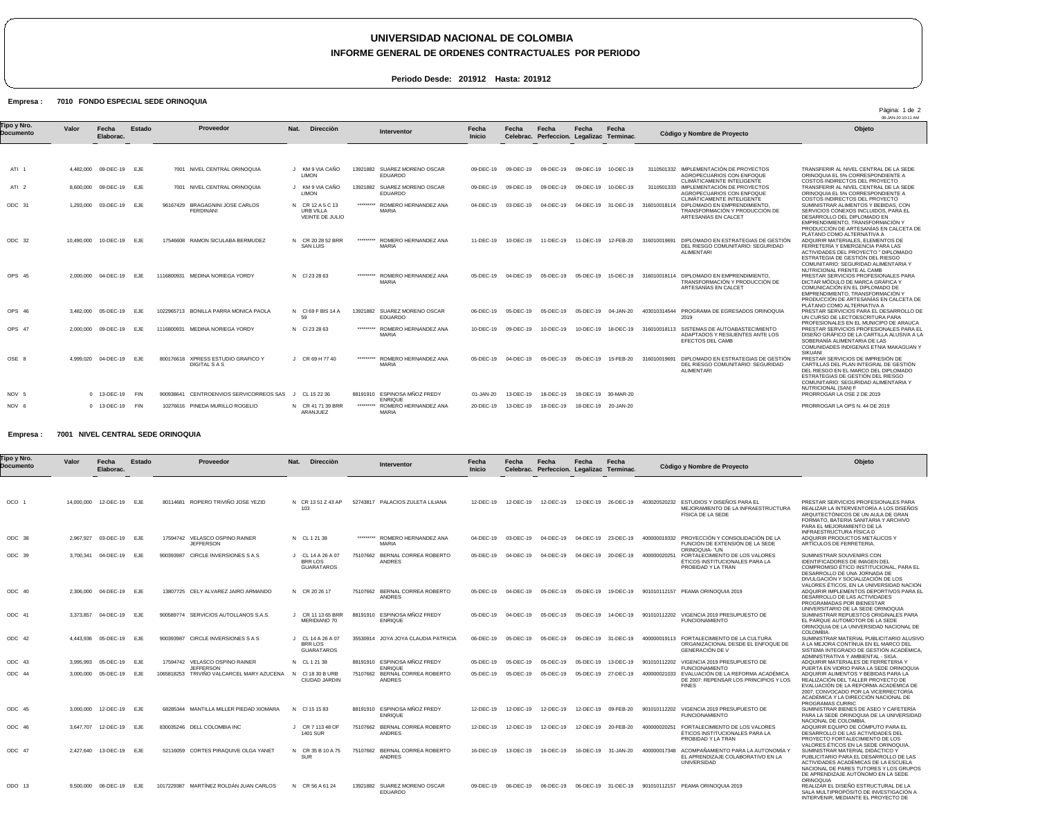# **UNIVERSIDAD NACIONAL DE COLOMBIA**

# **INFORME GENERAL DE ORDENES CONTRACTUALES POR PERIODO**

**Periodo Desde: 201912 Hasta: 201912**

## **FONDO ESPECIAL SEDE ORINOQUIA 7010 Empresa :**

08-JAN-20 10:11 AM ATI 1 ATI 2 ODC 31 ODC 32 OPS 45 OPS 46 OPS 47 OSE 8 NOV 5 NOV 6 4,482,000 09-DEC-19 EJE 8,600,000 09-DEC-19 EJE 1,293,000 03-DEC-19 EJE 10,490,000 10-DEC-19 EJE 2,000,000 04-DEC-19 EJE 3,482,000 05-DEC-19 EJE 2,000,000 09-DEC-19 EJE 4,999,020 0 13-DEC-19 0 13-DEC-19 FIN **Valor** 04-DEC-19 **Fecha Elaborac.** EJE FIN **Estado** 7001 NIVEL CENTRAL ORINOQUIA 7001 NIVEL CENTRAL ORINOQUIA 96167429 BRAGAGNINI JOSE CARLOS 17546608 RAMON SICULABA BERMUDEZ 1116800931 MEDINA NORIEGA YORDY 1022965713 BONILLA PARRA MONICA PAOLA 1116800931 MEDINA NORIEGA YORDY 800176618 XPRESS ESTUDIO GRAFICO Y 900938641 CENTROENVIOS SERVICORREOS SAS J CL 15 22 36 10276616 PINEDA MURILLO ROGELIO FERDINANI DIGITAL S A S J KM 9 VIA CAÑO J KM 9 VIA CAÑO N CR 12 A 5 C 13 N CR 20 28 52 BRR N Cl 23 28 63 N Cl 69 F BIS 14 A N Cl 23 28 63 J CR 69 H 77 40 N CR 41 71 39 BRR **Nat.** LIMON LIMON URB VILLA VEINTE DE JULIO SAN LUIS 59 ARANJUEZ **Direcciòn** 13921882 SUAREZ MORENO OSCAR 13921882 SUAREZ MORENO OSCAR \*\*\*\*\*\*\*\*\* \*\*\*\*\*\*\*\*\* \*\*\*\*\*\*\*\*\* 13921882 SUAREZ MORENO OSCAR EDUARDO \*\*\*\*\*\*\*\*\* \*\*\*\*\*\*\*\*\* 88191910 ESPINOSA MÑOZ FREDY \*\*\*\*\*\*\*\*\* EDUARDO EDUARDO ROMERO HERNANDEZ ANA MARIA ROMERO HERNANDEZ ANA MARIA ROMERO HERNANDEZ ANA MARIA ROMERO HERNANDEZ ANA MARIA ROMERO HERNANDEZ ANA MARIA ENRIQUE ROMERO HERNANDEZ ANA MARIA 09-DEC-19 09-DEC-19 09-DEC-19 09-DEC-19 10-DEC-19 09-DEC-19 04-DEC-19 11-DEC-19 05-DEC-19 06-DEC-19 10-DEC-19 05-DEC-19 01-JAN-20 20-DEC-19 **Fecha Inicio** 09-DEC-19 09-DEC-19 09-DEC-19 10-DEC-19 03-DEC-19 04-DEC-19 04-DEC-19 31-DEC-19 316010018114 10-DEC-19 11-DEC-19 11-DEC-19 12-FEB-20 316010019691 DIPLOMADO EN ESTRATEGIAS DE GESTIÓN 04-DEC-19 05-DEC-19 05-DEC-19 15-DEC-19 316010018114 DIPLOMADO EN EMPRENDIMIENTO, TRANSFORMACIÓN Y PRODUCCIÓN DE 05-DEC-19 05-DEC-19 05-DEC-19 04-JAN-20 403010314544 PROGRAMA DE EGRESADOS ORINOQUIA 09-DEC-19 10-DEC-19 10-DEC-19 18-DEC-19 316010018113 SISTEMAS DE AUTOABASTECIMIENTO ADAPTADOS Y RESILIENTES ANTE LOS 04-DEC-19 13-DEC-19 18-DEC-19 18-DEC-19 30-MAR-20 13-DEC-19 18-DEC-19 18-DEC-19 20-JAN-20 **Fecha Celebrac.** 05-DEC-19 **Fecha Perfeccion. Legalizac Terminac.** 05-DEC-19 15-FEB-20 **Fecha Fecha** 3110501332 IMPLEMENTACIÓN DE PROYECTOS 3110501333 316010019691 DIPLOMADO EN ESTRATEGIAS DE GESTIÓN DEL RIESGO COMUNITARIO: SEGURIDAD ALIMENTARI AGROPECUARIOS CON ENFOQUE CLIMÁTICAMENTE INTELIGENTE IMPLEMENTACIÓN DE PROYECTOS AGROPECUARIOS CON ENFOQUE CLIMÁTICAMENTE INTELIGENTE DIPLOMADO EN EMPRENDIMIENTO, TRANSFORMACIÓN Y PRODUCCIÓN DE ARTESANÍAS EN CALCET DEL RIESGO COMUNITARIO: SEGURIDAD ALIMENTARI ARTESANÍAS EN CALCET  $2019$ EFECTOS DEL CAMB TRANSFERIR AL NIVEL CENTRAL DE LA SEDE ORINOQUIA EL 5% CORRESPONDIENTE A COSTOS INDIRECTOS DEL PROYECTO TRANSFERIR AL NIVEL CENTRAL DE LA SEDE ORINOQUIA EL 5% CORRESPONDIENTE A COSTOS INDIRECTOS DEL PROYECTO SUMINISTRAR ALIMENTOS Y BEBIDAS, CON SERVICIOS CONEXOS INCLUIDOS, PARA EL<br>DESARROLLO DEL DIPLOMADO EN<br>EMPRENDIMIENTO, TRANSFORMACIÓN Y<br>PRODUCCIÓN DE ARTESANÍAS EN CALCETA DE<br>PLÁTANO COMO ALTERNATIVA A<br>ADQUIRIR MATERIALES, ELEMENTOS DE FERRETERÍA Y EMERGENCIA PARA LAS<br>ACTIVIDADES DEL PROYECTO " DIPLOMADO<br>ESTRATEGIA DE GESTIÓN DEL RIESGO<br>COMUNITARIO: SEGURIDAD ALIMENTARIA Y<br>NUTRICIONAL FRENTE AL CAMB PRESTAR SERVICIOS PROFESIONALES PARA DICTAR MÓDULO DE MARCA GRÁFICA Y COMUNICACIÓN EN EL DIPLOMADO DE EMPRENDIMIENTO, TRANSFORMACIÓN Y PRODUCCIÓN DE ARTESANÍAS EN CALCETA DE PLÁTANO COMO ALTERNATIVA A PRESTAR SERVICIOS PARA EL DESARROLLO DE<br>UN CURSO DE LECTOESCRITURA PARA<br>PROFESIONALES EN EL MUNICIPO DE ARAUCA<br>PRESTAR SERVICIOS PROFESIONALES PARA EL<br>DISEÑO GRÀFICO DE LA CARTILLA ALUSIVA A LA SOBERANÌA ALIMENTARIA DE LAS COMUNIDADES INDIGENAS ETNIA MAKAGUAN Y SIKUANI<br>PRESTAR SERVICIOS DE IMPRESIÓN DE<br>CARTILLAS DEL PLAN INTEGRAL DE GESTIÓN<br>DEL RIESGO EN EL MARCO DEL DIPLOMADO<br>ESTRATEGIAS DE GESTIÓN DEL RIESGO COMUNITARIO: SEGURIDAD ALIMENTARIA Y NUTRICIONAL (SAN) F PRORROGAR LA OSE 2 DE 2019 PRORROGAR LA OPS N. 44 DE 2019 **Objeto Tipo y Nro. Documento Proveedor Interventor Còdigo y Nombre de Proyecto**

#### **NIVEL CENTRAL SEDE ORINOQUIA 7001 Empresa :**

| Γipo y Nro.<br>Documento | Valor      | Fecha<br>Elaborac. | <b>Estado</b> | Proveedor                                                     | <b>Dirección</b><br>Nat.                                 | Interventor                                                   | Fecha<br>Inicio | Fecha     | Fecha<br>Celebrac. Perfeccion. Legalizac Terminac. | Fecha     | Fecha               | Còdigo y Nombre de Proyecto                                                                                                           | Objeto                                                                                                                                                                                                                                         |
|--------------------------|------------|--------------------|---------------|---------------------------------------------------------------|----------------------------------------------------------|---------------------------------------------------------------|-----------------|-----------|----------------------------------------------------|-----------|---------------------|---------------------------------------------------------------------------------------------------------------------------------------|------------------------------------------------------------------------------------------------------------------------------------------------------------------------------------------------------------------------------------------------|
|                          |            |                    |               |                                                               |                                                          |                                                               |                 |           |                                                    |           |                     |                                                                                                                                       |                                                                                                                                                                                                                                                |
| OCO <sub>1</sub>         | 14,000,000 | 12-DEC-19          | EJE           | 80114681 ROPERO TRIVIÑO JOSE YEZID                            | N CR 1351 Z 43 AP<br>103                                 | 52743817 PALACIOS ZULETA LILIANA                              | 12-DEC-19       | 12-DEC-19 | 12-DEC-19                                          |           | 12-DEC-19 26-DEC-19 | ESTUDIOS Y DISEÑOS PARA EL<br>403020520232<br>MEJORAMIENTO DE LA INFRAESTRUCTURA<br>FÍSICA DE LA SEDE                                 | PRESTAR SERVICIOS PROFESIONALES PARA<br>REALIZAR LA INTERVENTORÍA A LOS DISEÑOS<br>ARQUITECTÒNICOS DE UN AULA DE GRAN<br>FORMATO, BATERIA SANITARIA Y ARCHIVO<br>PARA EL MEJORAMIENTO DE LA                                                    |
| ODC 38                   | 2.967.927  | 03-DEC-19          | <b>EJE</b>    | 17594742 VELASCO OSPINO RAINER<br><b>JEFFERSON</b>            | N CL 12138                                               | *********<br>ROMERO HERNANDEZ ANA<br><b>MARIA</b>             | 04-DEC-19       | 03-DEC-19 | 04-DEC-19                                          | 04-DEC-19 | 23-DEC-19           | PROYECCIÓN Y CONSOLIDACIÓN DE LA<br>400000019332<br>FUNCIÓN DE EXTENSIÓN DE LA SEDE                                                   | INFRAESTRUCTURA FÍSICA D<br>ADQUIRIR PRODUCTOS METÁLICOS Y<br>ARTÍCULOS DE FERRETERIA.                                                                                                                                                         |
| ODC 39                   | 3.700.341  | 04-DEC-19          | <b>EJE</b>    | CIRCLE INVERSIONES S A S<br>900393987                         | J CL 14 A 26 A 07<br><b>BRR LOS</b><br><b>GUARATAROS</b> | 75107662 BERNAL CORREA ROBERTO<br><b>ANDRES</b>               | 05-DEC-19       | 04-DEC-19 | 04-DEC-19                                          | 04-DEC-19 | 20-DEC-19           | ORINOQUIA- "UN<br>400000020251<br>FORTALECIMIENTO DE LOS VALORES<br>ÉTICOS INSTITUCIONALES PARA LA<br>PROBIDAD Y LA TRAN              | SUMINISTRAR SOUVENIRS CON<br>IDENTIFICADORES DE IMAGEN DEL<br>COMPROMISO ÉTICO INSTITUCIONAL, PARA EL<br>DESARROLLO DE UNA JORNADA DE<br>DIVULGACIÓN Y SOCIALIZACIÓN DE LOS                                                                    |
| ODC 40                   | 2.306.000  | 04-DEC-19          | <b>EJE</b>    | 13807725 CELY ALVAREZ JAIRO ARMANDO                           | N CR 20 26 17                                            | 75107662 BERNAL CORREA ROBERTO<br><b>ANDRES</b>               | 05-DEC-19       | 04-DEC-19 | 05-DEC-19                                          |           | 05-DEC-19 19-DEC-19 | 901010112157 PEAMA ORINOQUIA 2019                                                                                                     | VALORES ÉTICOS, EN LA UNIVERSIDAD NACION<br>ADQUIRIR IMPLEMENTOS DEPORTIVOS PARA EL<br>DESARROLLO DE LAS ACTIVIDADES<br>PROGRAMADAS POR BIENESTAR                                                                                              |
| ODC 41                   | 3.373.857  | 04-DEC-19          | EJE           | 900589774 SERVICIOS AUTOLLANOS S.A.S                          | CR 11 13 65 BRR<br>MERIDIANO 70                          | ESPINOSA MÑOZ FREDY<br>88191910<br><b>ENRIQUE</b>             | 05-DEC-19       | 04-DEC-19 | 05-DEC-19                                          | 05-DEC-19 | 14-DEC-19           | 901010112202<br>VIGENCIA 2019 PRESUPUESTO DE<br><b>FUNCIONAMIENTO</b>                                                                 | UNIVERSITARIO DE LA SEDE ORINOQUIA<br>SUMINISTRAR REPUESTOS ORIGINALES PARA<br>EL PARQUE AUTOMOTOR DE LA SEDE<br>ORINOQUIA DE LA UNIVERSIDAD NACIONAL DE                                                                                       |
| ODC 42                   | 4.443.936  | 05-DEC-19          | <b>EJE</b>    | 900393987 CIRCLE INVERSIONES S A S                            | J CL 14 A 26 A 07<br><b>BRR LOS</b><br><b>GUARATAROS</b> | 35530914 JOYA JOYA CLAUDIA PATRICIA                           | 06-DEC-19       | 05-DEC-19 | 05-DEC-19                                          |           | 05-DEC-19 31-DEC-19 | 400000019113 FORTALECIMIENTO DE LA CULTURA<br>ORGANIZACIONAL DESDE EL ENFOQUE DE<br><b>GENERACIÓN DE V</b>                            | COLOMBIA<br>SUMINISTRAR MATERIAL PUBLICITARIO ALUSIVO<br>A LA MEJORA CONTÍNUA EN EL MARCO DEL<br>SISTEMA INTEGRADO DE GESTIÓN ACADÉMICA.                                                                                                       |
| ODC 43                   | 3.995.993  | 05-DEC-19          | <b>EJE</b>    | 17594742 VELASCO OSPINO RAINER                                | N CL 1 21 38                                             | 88191910 ESPINOSA MÑOZ FREDY                                  | $05-DEC-19$     | 05-DEC-19 | 05-DEC-19                                          | 05-DEC-19 | 13-DEC-19           | 901010112202 VIGENCIA 2019 PRESUPUESTO DE                                                                                             | ADMINISTRATIVA Y AMBIENTAL - SIGA<br>ADQUIRIR MATERIALES DE FERRETERIA Y                                                                                                                                                                       |
| ODC 44                   | 3.000.000  | 05-DEC-19          | EJE           | <b>JEFFERSON</b><br>1065818253 TRIVIÑO VALCARCEL MARY AZUCENA | CI 18 30 B URB<br>N<br><b>CIUDAD JARDIN</b>              | <b>ENRIQUE</b><br>BERNAL CORREA ROBERTO<br>75107662<br>ANDRES | 05-DEC-19       | 05-DEC-19 | 05-DEC-19                                          |           | 05-DEC-19 27-DEC-19 | <b>FUNCIONAMIENTO</b><br>EVALUACIÓN DE LA REFORMA ACADÉMICA<br>400000021033<br>DE 2007: REPENSAR LOS PRINCIPIOS Y LOS<br><b>FINES</b> | PUERTA EN VIDRIO PARA LA SEDE ORINOQUIA<br>ADQUIRIR ALIMENTOS Y BEBIDAS PARA LA<br>REALIZACIÓN DEL TALLER PROYECTO DE<br>EVALUACIÓN DE LA REFORMA ACADÉMICA DE<br>2007, CONVOCADO POR LA VICERRECTORÍA<br>ACADÉMICA Y LA DIRECCIÓN NACIONAL DE |
| ODC 45                   | 3.000.000  | 12-DEC-19          | EJE           | 68285344 MANTILLA MILLER PIEDAD XIOMARA                       | N CI 15 15 83                                            | 88191910 ESPINOSA MÑOZ FREDY<br><b>ENRIQUE</b>                | 12-DEC-19       | 12-DEC-19 | 12-DEC-19                                          | 12-DEC-19 | 09-FEB-20           | VIGENCIA 2019 PRESUPUESTO DE<br>901010112202<br><b>FUNCIONAMIENTO</b>                                                                 | PROGRAMAS CURRIC<br>SUMINISTRAR BIENES DE ASEO Y CAFETERÍA<br>PARA LA SEDE ORINOQUIA DE LA UNIVERSIDAD<br>NACIONAL DE COLOMBIA                                                                                                                 |
| ODC 46                   | 3.647.707  | 12-DEC-19          | EJE           | 830035246 DELL COLOMBIA INC                                   | CR 7 113 48 OF<br><b>1401 SUR</b>                        | 75107662<br>BERNAL CORREA ROBERTO<br><b>ANDRES</b>            | 12-DEC-19       | 12-DEC-19 | 12-DEC-19                                          | 12-DEC-19 | 20-FEB-20           | FORTALECIMIENTO DE LOS VALORES<br>400000020251<br>ÉTICOS INSTITUCIONALES PARA LA<br>PROBIDAD Y LA TRAN                                | ADQUIRIR EQUIPO DE CÓMPUTO PARA EL<br>DESARROLLO DE LAS ACTIVIDADES DEL<br>PROYECTO FORTALECIMIENTO DE LOS                                                                                                                                     |
| ODC 47                   | 2.427.640  | 13-DEC-19          | EJE           | 52116059 CORTES PIRAQUIVE OLGA YANET                          | N CR 35 B 10 A 75<br><b>SUR</b>                          | BERNAL CORREA ROBERTO<br>75107662<br>ANDRES                   | 16-DEC-19       | 13-DEC-19 | 16-DEC-19                                          | 16-DEC-19 | 31-JAN-20           | ACOMPAÑAMIENTO PARA LA AUTONOMÍA Y<br>400000017348<br>EL APRENDIZAJE COLABORATIVO EN LA<br>UNIVERSIDAD                                | VALORES ÉTICOS EN LA SEDE ORINOQUIA.<br>SUMINISTRAR MATERIAL DIDACTICO Y<br>PUBLICITARIO PARA EL DESARROLLO DE LAS<br>ACTIVIDADES ACADÈMICAS DE LA ESCUELA<br>NACIONAL DE PARES TUTORES Y LOS GRUPOS<br>DE APRENDIZAJE AUTÒNOMO EN LA SEDE     |
| ODO 13                   | 9.500.000  | 06-DEC-19          | EJE           | 1017229387 MARTÍNEZ ROLDÁN JUAN CARLOS                        | N CR 56 A 61 24                                          | SUAREZ MORENO OSCAR<br>13921882<br><b>EDUARDO</b>             | 09-DEC-19       | 06-DEC-19 | 06-DEC-19                                          |           | 06-DEC-19 31-DEC-19 | 901010112157 PEAMA ORINOQUIA 2019                                                                                                     | ORINOQUIA<br>REALIZAR EL DISEÑO ESTRUCTURAL DE LA<br>SALA MULTIPROPÓSITO DE INVESTIGACIÓN A<br>INTERVENIR, MEDIANTE EL PROYECTO DE                                                                                                             |

Pàgina: 1 de 2